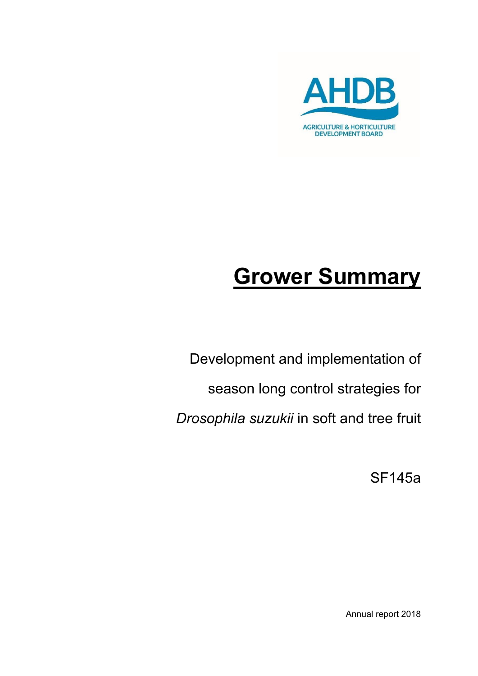

# **Grower Summary**

Development and implementation of season long control strategies for *Drosophila suzukii* in soft and tree fruit

SF145a

Annual report 2018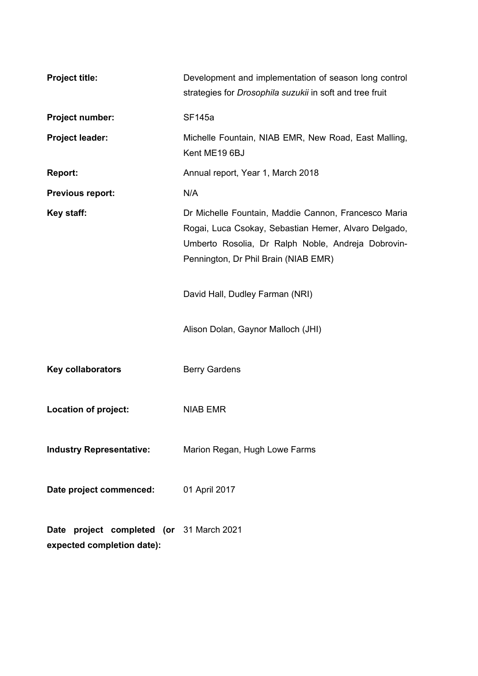| <b>Project title:</b>                                                     | Development and implementation of season long control<br>strategies for Drosophila suzukii in soft and tree fruit                                                                                          |
|---------------------------------------------------------------------------|------------------------------------------------------------------------------------------------------------------------------------------------------------------------------------------------------------|
| Project number:                                                           | <b>SF145a</b>                                                                                                                                                                                              |
| <b>Project leader:</b>                                                    | Michelle Fountain, NIAB EMR, New Road, East Malling,<br>Kent ME19 6BJ                                                                                                                                      |
| <b>Report:</b>                                                            | Annual report, Year 1, March 2018                                                                                                                                                                          |
| Previous report:                                                          | N/A                                                                                                                                                                                                        |
| Key staff:                                                                | Dr Michelle Fountain, Maddie Cannon, Francesco Maria<br>Rogai, Luca Csokay, Sebastian Hemer, Alvaro Delgado,<br>Umberto Rosolia, Dr Ralph Noble, Andreja Dobrovin-<br>Pennington, Dr Phil Brain (NIAB EMR) |
|                                                                           | David Hall, Dudley Farman (NRI)                                                                                                                                                                            |
|                                                                           | Alison Dolan, Gaynor Malloch (JHI)                                                                                                                                                                         |
| <b>Key collaborators</b>                                                  | <b>Berry Gardens</b>                                                                                                                                                                                       |
| Location of project:                                                      | <b>NIAB EMR</b>                                                                                                                                                                                            |
| <b>Industry Representative:</b>                                           | Marion Regan, Hugh Lowe Farms                                                                                                                                                                              |
| Date project commenced:                                                   | 01 April 2017                                                                                                                                                                                              |
| project completed (or 31 March 2021<br>Date<br>expected completion date): |                                                                                                                                                                                                            |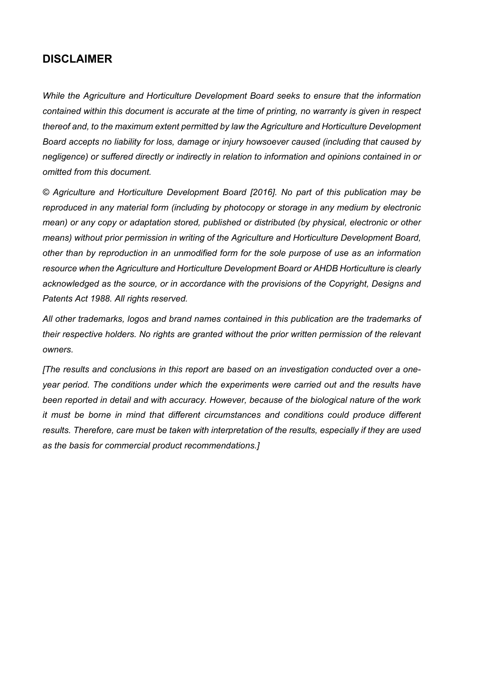## **DISCLAIMER**

*While the Agriculture and Horticulture Development Board seeks to ensure that the information contained within this document is accurate at the time of printing, no warranty is given in respect thereof and, to the maximum extent permitted by law the Agriculture and Horticulture Development Board accepts no liability for loss, damage or injury howsoever caused (including that caused by negligence) or suffered directly or indirectly in relation to information and opinions contained in or omitted from this document.* 

*© Agriculture and Horticulture Development Board [2016]. No part of this publication may be reproduced in any material form (including by photocopy or storage in any medium by electronic mean) or any copy or adaptation stored, published or distributed (by physical, electronic or other means) without prior permission in writing of the Agriculture and Horticulture Development Board, other than by reproduction in an unmodified form for the sole purpose of use as an information resource when the Agriculture and Horticulture Development Board or AHDB Horticulture is clearly acknowledged as the source, or in accordance with the provisions of the Copyright, Designs and Patents Act 1988. All rights reserved.*

*All other trademarks, logos and brand names contained in this publication are the trademarks of their respective holders. No rights are granted without the prior written permission of the relevant owners.* 

*[The results and conclusions in this report are based on an investigation conducted over a oneyear period. The conditions under which the experiments were carried out and the results have been reported in detail and with accuracy. However, because of the biological nature of the work it must be borne in mind that different circumstances and conditions could produce different results. Therefore, care must be taken with interpretation of the results, especially if they are used as the basis for commercial product recommendations.]*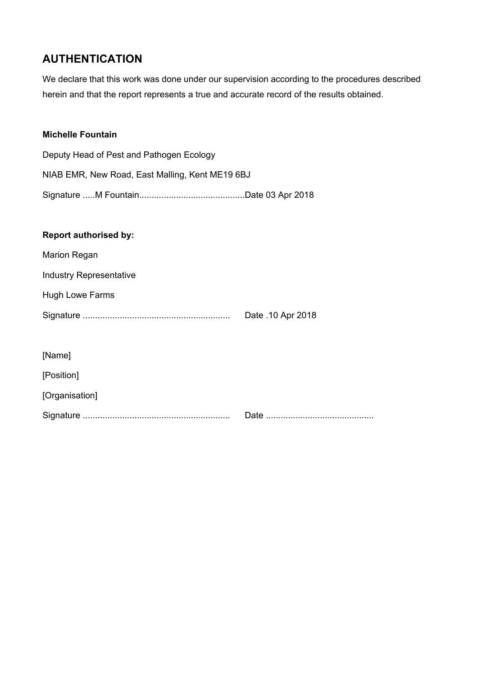# **AUTHENTICATION**

We declare that this work was done under our supervision according to the procedures described herein and that the report represents a true and accurate record of the results obtained.

#### **Michelle Fountain**

| Deputy Head of Pest and Pathogen Ecology        |  |
|-------------------------------------------------|--|
| NIAB EMR, New Road, East Malling, Kent ME19 6BJ |  |
|                                                 |  |

## **Report authorised by:**

| <b>Marion Regan</b>            |                   |
|--------------------------------|-------------------|
| <b>Industry Representative</b> |                   |
| <b>Hugh Lowe Farms</b>         |                   |
|                                | Date .10 Apr 2018 |
|                                |                   |
| [Name]                         |                   |
| [Position]                     |                   |
| [Organisation]                 |                   |
|                                |                   |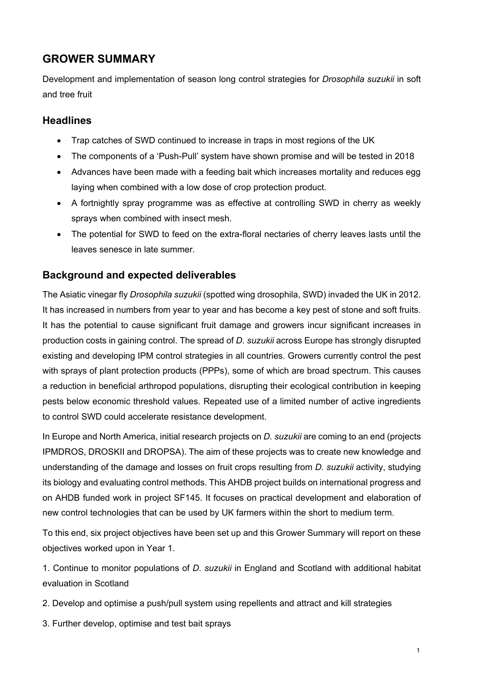# **GROWER SUMMARY**

Development and implementation of season long control strategies for *Drosophila suzukii* in soft and tree fruit

#### **Headlines**

- Trap catches of SWD continued to increase in traps in most regions of the UK
- The components of a 'Push-Pull' system have shown promise and will be tested in 2018
- Advances have been made with a feeding bait which increases mortality and reduces egg laying when combined with a low dose of crop protection product.
- A fortnightly spray programme was as effective at controlling SWD in cherry as weekly sprays when combined with insect mesh.
- The potential for SWD to feed on the extra-floral nectaries of cherry leaves lasts until the leaves senesce in late summer.

#### **Background and expected deliverables**

The Asiatic vinegar fly *Drosophila suzukii* (spotted wing drosophila, SWD) invaded the UK in 2012. It has increased in numbers from year to year and has become a key pest of stone and soft fruits. It has the potential to cause significant fruit damage and growers incur significant increases in production costs in gaining control. The spread of *D. suzukii* across Europe has strongly disrupted existing and developing IPM control strategies in all countries. Growers currently control the pest with sprays of plant protection products (PPPs), some of which are broad spectrum. This causes a reduction in beneficial arthropod populations, disrupting their ecological contribution in keeping pests below economic threshold values. Repeated use of a limited number of active ingredients to control SWD could accelerate resistance development.

In Europe and North America, initial research projects on *D. suzukii* are coming to an end (projects IPMDROS, DROSKII and DROPSA). The aim of these projects was to create new knowledge and understanding of the damage and losses on fruit crops resulting from *D. suzukii* activity, studying its biology and evaluating control methods. This AHDB project builds on international progress and on AHDB funded work in project SF145. It focuses on practical development and elaboration of new control technologies that can be used by UK farmers within the short to medium term.

To this end, six project objectives have been set up and this Grower Summary will report on these objectives worked upon in Year 1.

1. Continue to monitor populations of *D. suzukii* in England and Scotland with additional habitat evaluation in Scotland

- 2. Develop and optimise a push/pull system using repellents and attract and kill strategies
- 3. Further develop, optimise and test bait sprays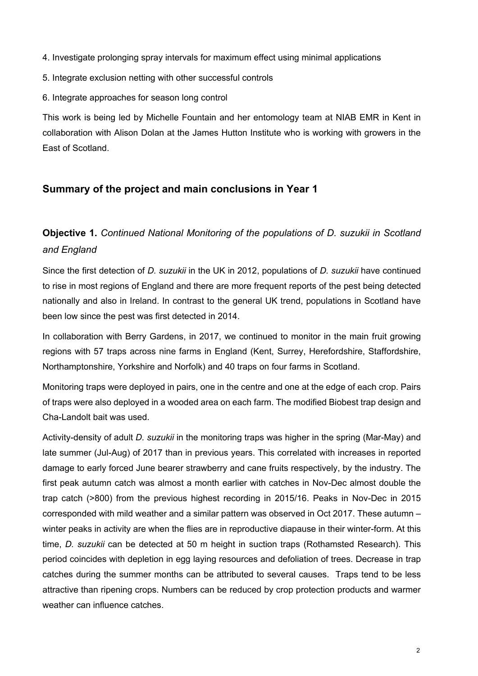- 4. Investigate prolonging spray intervals for maximum effect using minimal applications
- 5. Integrate exclusion netting with other successful controls
- 6. Integrate approaches for season long control

This work is being led by Michelle Fountain and her entomology team at NIAB EMR in Kent in collaboration with Alison Dolan at the James Hutton Institute who is working with growers in the East of Scotland.

#### **Summary of the project and main conclusions in Year 1**

## **Objective 1.** *Continued National Monitoring of the populations of D. suzukii in Scotland and England*

Since the first detection of *D. suzukii* in the UK in 2012, populations of *D. suzukii* have continued to rise in most regions of England and there are more frequent reports of the pest being detected nationally and also in Ireland. In contrast to the general UK trend, populations in Scotland have been low since the pest was first detected in 2014.

In collaboration with Berry Gardens, in 2017, we continued to monitor in the main fruit growing regions with 57 traps across nine farms in England (Kent, Surrey, Herefordshire, Staffordshire, Northamptonshire, Yorkshire and Norfolk) and 40 traps on four farms in Scotland.

Monitoring traps were deployed in pairs, one in the centre and one at the edge of each crop. Pairs of traps were also deployed in a wooded area on each farm. The modified Biobest trap design and Cha-Landolt bait was used.

Activity-density of adult *D. suzukii* in the monitoring traps was higher in the spring (Mar-May) and late summer (Jul-Aug) of 2017 than in previous years. This correlated with increases in reported damage to early forced June bearer strawberry and cane fruits respectively, by the industry. The first peak autumn catch was almost a month earlier with catches in Nov-Dec almost double the trap catch (>800) from the previous highest recording in 2015/16. Peaks in Nov-Dec in 2015 corresponded with mild weather and a similar pattern was observed in Oct 2017. These autumn – winter peaks in activity are when the flies are in reproductive diapause in their winter-form. At this time, *D. suzukii* can be detected at 50 m height in suction traps (Rothamsted Research). This period coincides with depletion in egg laying resources and defoliation of trees. Decrease in trap catches during the summer months can be attributed to several causes. Traps tend to be less attractive than ripening crops. Numbers can be reduced by crop protection products and warmer weather can influence catches.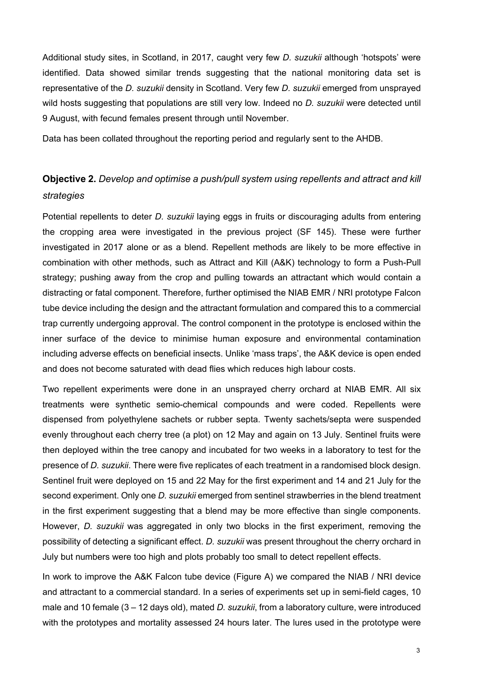Additional study sites, in Scotland, in 2017, caught very few *D. suzukii* although 'hotspots' were identified. Data showed similar trends suggesting that the national monitoring data set is representative of the *D. suzukii* density in Scotland. Very few *D. suzukii* emerged from unsprayed wild hosts suggesting that populations are still very low. Indeed no *D. suzukii* were detected until 9 August, with fecund females present through until November.

Data has been collated throughout the reporting period and regularly sent to the AHDB.

## **Objective 2.** *Develop and optimise a push/pull system using repellents and attract and kill strategies*

Potential repellents to deter *D. suzukii* laying eggs in fruits or discouraging adults from entering the cropping area were investigated in the previous project (SF 145). These were further investigated in 2017 alone or as a blend. Repellent methods are likely to be more effective in combination with other methods, such as Attract and Kill (A&K) technology to form a Push-Pull strategy; pushing away from the crop and pulling towards an attractant which would contain a distracting or fatal component. Therefore, further optimised the NIAB EMR / NRI prototype Falcon tube device including the design and the attractant formulation and compared this to a commercial trap currently undergoing approval. The control component in the prototype is enclosed within the inner surface of the device to minimise human exposure and environmental contamination including adverse effects on beneficial insects. Unlike 'mass traps', the A&K device is open ended and does not become saturated with dead flies which reduces high labour costs.

Two repellent experiments were done in an unsprayed cherry orchard at NIAB EMR. All six treatments were synthetic semio-chemical compounds and were coded. Repellents were dispensed from polyethylene sachets or rubber septa. Twenty sachets/septa were suspended evenly throughout each cherry tree (a plot) on 12 May and again on 13 July. Sentinel fruits were then deployed within the tree canopy and incubated for two weeks in a laboratory to test for the presence of *D. suzukii*. There were five replicates of each treatment in a randomised block design. Sentinel fruit were deployed on 15 and 22 May for the first experiment and 14 and 21 July for the second experiment. Only one *D. suzukii* emerged from sentinel strawberries in the blend treatment in the first experiment suggesting that a blend may be more effective than single components. However, *D. suzukii* was aggregated in only two blocks in the first experiment, removing the possibility of detecting a significant effect. *D. suzukii* was present throughout the cherry orchard in July but numbers were too high and plots probably too small to detect repellent effects.

In work to improve the A&K Falcon tube device (Figure A) we compared the NIAB / NRI device and attractant to a commercial standard. In a series of experiments set up in semi-field cages, 10 male and 10 female (3 – 12 days old), mated *D. suzukii*, from a laboratory culture, were introduced with the prototypes and mortality assessed 24 hours later. The lures used in the prototype were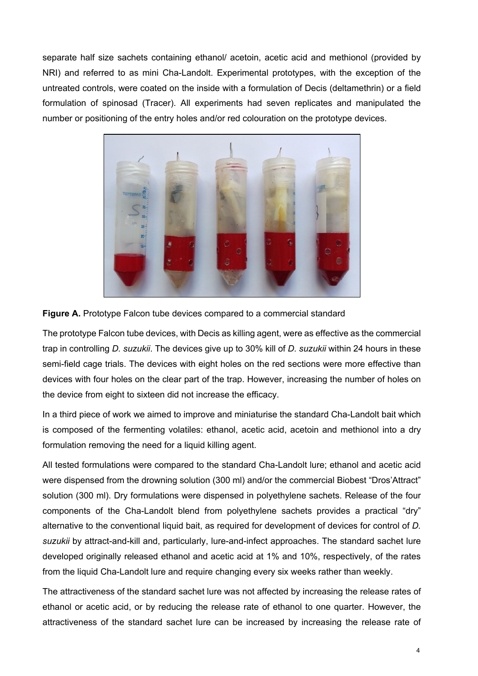separate half size sachets containing ethanol/ acetoin, acetic acid and methionol (provided by NRI) and referred to as mini Cha-Landolt. Experimental prototypes, with the exception of the untreated controls, were coated on the inside with a formulation of Decis (deltamethrin) or a field formulation of spinosad (Tracer). All experiments had seven replicates and manipulated the number or positioning of the entry holes and/or red colouration on the prototype devices.





The prototype Falcon tube devices, with Decis as killing agent, were as effective as the commercial trap in controlling *D. suzukii*. The devices give up to 30% kill of *D. suzukii* within 24 hours in these semi-field cage trials. The devices with eight holes on the red sections were more effective than devices with four holes on the clear part of the trap. However, increasing the number of holes on the device from eight to sixteen did not increase the efficacy.

In a third piece of work we aimed to improve and miniaturise the standard Cha-Landolt bait which is composed of the fermenting volatiles: ethanol, acetic acid, acetoin and methionol into a dry formulation removing the need for a liquid killing agent.

All tested formulations were compared to the standard Cha-Landolt lure; ethanol and acetic acid were dispensed from the drowning solution (300 ml) and/or the commercial Biobest "Dros'Attract" solution (300 ml). Dry formulations were dispensed in polyethylene sachets. Release of the four components of the Cha-Landolt blend from polyethylene sachets provides a practical "dry" alternative to the conventional liquid bait, as required for development of devices for control of *D. suzukii* by attract-and-kill and, particularly, lure-and-infect approaches. The standard sachet lure developed originally released ethanol and acetic acid at 1% and 10%, respectively, of the rates from the liquid Cha-Landolt lure and require changing every six weeks rather than weekly.

The attractiveness of the standard sachet lure was not affected by increasing the release rates of ethanol or acetic acid, or by reducing the release rate of ethanol to one quarter. However, the attractiveness of the standard sachet lure can be increased by increasing the release rate of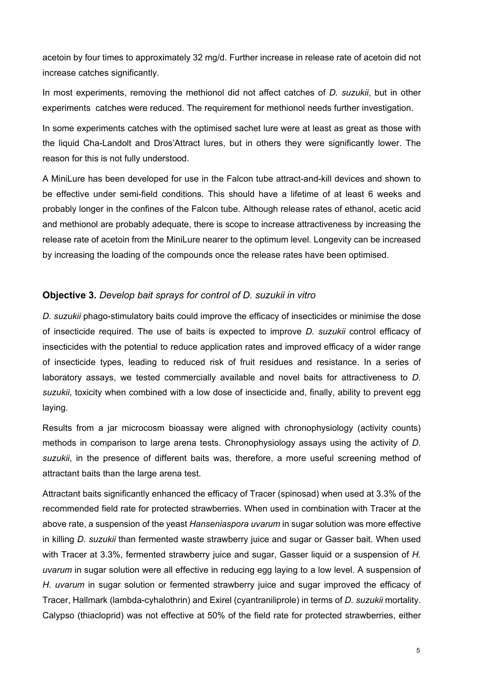acetoin by four times to approximately 32 mg/d. Further increase in release rate of acetoin did not increase catches significantly.

In most experiments, removing the methionol did not affect catches of *D. suzukii*, but in other experiments catches were reduced. The requirement for methionol needs further investigation.

In some experiments catches with the optimised sachet lure were at least as great as those with the liquid Cha-Landolt and Dros'Attract lures, but in others they were significantly lower. The reason for this is not fully understood.

A MiniLure has been developed for use in the Falcon tube attract-and-kill devices and shown to be effective under semi-field conditions. This should have a lifetime of at least 6 weeks and probably longer in the confines of the Falcon tube. Although release rates of ethanol, acetic acid and methionol are probably adequate, there is scope to increase attractiveness by increasing the release rate of acetoin from the MiniLure nearer to the optimum level. Longevity can be increased by increasing the loading of the compounds once the release rates have been optimised.

#### **Objective 3.** *Develop bait sprays for control of D. suzukii in vitro*

*D. suzukii* phago-stimulatory baits could improve the efficacy of insecticides or minimise the dose of insecticide required. The use of baits is expected to improve *D. suzukii* control efficacy of insecticides with the potential to reduce application rates and improved efficacy of a wider range of insecticide types, leading to reduced risk of fruit residues and resistance. In a series of laboratory assays, we tested commercially available and novel baits for attractiveness to *D. suzukii*, toxicity when combined with a low dose of insecticide and, finally, ability to prevent egg laying.

Results from a jar microcosm bioassay were aligned with chronophysiology (activity counts) methods in comparison to large arena tests. Chronophysiology assays using the activity of *D. suzukii*, in the presence of different baits was, therefore, a more useful screening method of attractant baits than the large arena test.

Attractant baits significantly enhanced the efficacy of Tracer (spinosad) when used at 3.3% of the recommended field rate for protected strawberries. When used in combination with Tracer at the above rate, a suspension of the yeast *Hanseniaspora uvarum* in sugar solution was more effective in killing *D. suzukii* than fermented waste strawberry juice and sugar or Gasser bait. When used with Tracer at 3.3%, fermented strawberry juice and sugar, Gasser liquid or a suspension of *H. uvarum* in sugar solution were all effective in reducing egg laying to a low level. A suspension of *H. uvarum* in sugar solution or fermented strawberry juice and sugar improved the efficacy of Tracer, Hallmark (lambda-cyhalothrin) and Exirel (cyantraniliprole) in terms of *D. suzukii* mortality. Calypso (thiacloprid) was not effective at 50% of the field rate for protected strawberries, either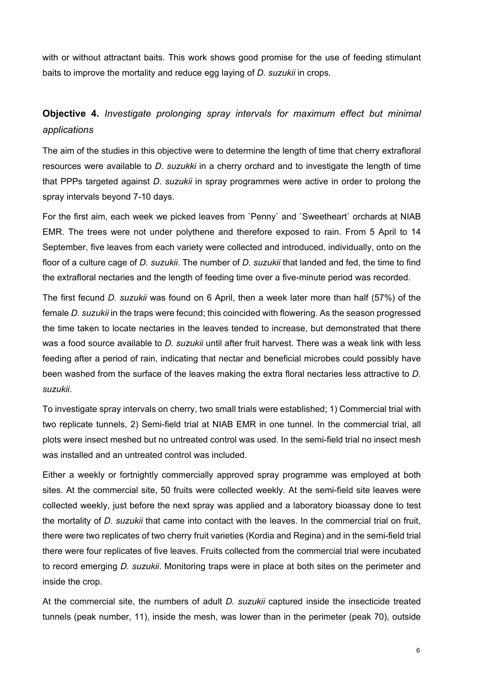with or without attractant baits. This work shows good promise for the use of feeding stimulant baits to improve the mortality and reduce egg laying of *D. suzukii* in crops*.*

## **Objective 4.** *Investigate prolonging spray intervals for maximum effect but minimal applications*

The aim of the studies in this objective were to determine the length of time that cherry extrafloral resources were available to *D. suzukki* in a cherry orchard and to investigate the length of time that PPPs targeted against *D. suzukii* in spray programmes were active in order to prolong the spray intervals beyond 7-10 days.

For the first aim, each week we picked leaves from `Penny` and `Sweetheart` orchards at NIAB EMR. The trees were not under polythene and therefore exposed to rain. From 5 April to 14 September, five leaves from each variety were collected and introduced, individually, onto on the floor of a culture cage of *D. suzukii*. The number of *D. suzukii* that landed and fed, the time to find the extrafloral nectaries and the length of feeding time over a five-minute period was recorded.

The first fecund *D. suzukii* was found on 6 April, then a week later more than half (57%) of the female *D. suzukii* in the traps were fecund; this coincided with flowering. As the season progressed the time taken to locate nectaries in the leaves tended to increase, but demonstrated that there was a food source available to *D. suzukii* until after fruit harvest. There was a weak link with less feeding after a period of rain, indicating that nectar and beneficial microbes could possibly have been washed from the surface of the leaves making the extra floral nectaries less attractive to *D. suzukii*.

To investigate spray intervals on cherry, two small trials were established; 1) Commercial trial with two replicate tunnels, 2) Semi-field trial at NIAB EMR in one tunnel. In the commercial trial, all plots were insect meshed but no untreated control was used. In the semi-field trial no insect mesh was installed and an untreated control was included.

Either a weekly or fortnightly commercially approved spray programme was employed at both sites. At the commercial site, 50 fruits were collected weekly. At the semi-field site leaves were collected weekly, just before the next spray was applied and a laboratory bioassay done to test the mortality of *D. suzukii* that came into contact with the leaves. In the commercial trial on fruit, there were two replicates of two cherry fruit varieties (Kordia and Regina) and in the semi-field trial there were four replicates of five leaves. Fruits collected from the commercial trial were incubated to record emerging *D. suzukii*. Monitoring traps were in place at both sites on the perimeter and inside the crop.

At the commercial site, the numbers of adult *D. suzukii* captured inside the insecticide treated tunnels (peak number, 11), inside the mesh, was lower than in the perimeter (peak 70), outside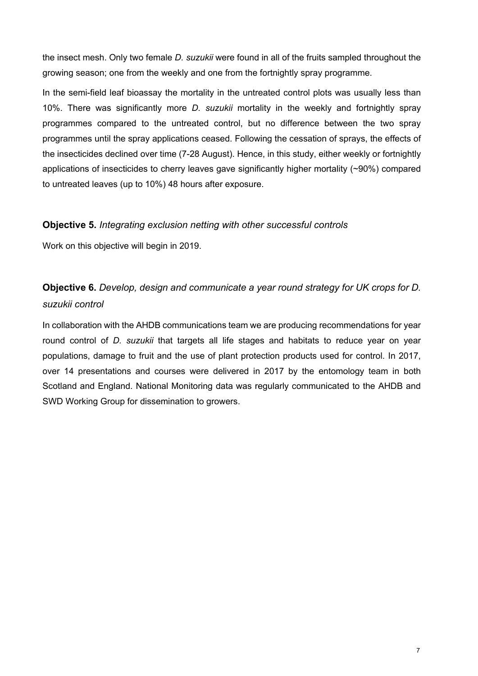the insect mesh. Only two female *D. suzukii* were found in all of the fruits sampled throughout the growing season; one from the weekly and one from the fortnightly spray programme.

In the semi-field leaf bioassay the mortality in the untreated control plots was usually less than 10%. There was significantly more *D. suzukii* mortality in the weekly and fortnightly spray programmes compared to the untreated control, but no difference between the two spray programmes until the spray applications ceased. Following the cessation of sprays, the effects of the insecticides declined over time (7-28 August). Hence, in this study, either weekly or fortnightly applications of insecticides to cherry leaves gave significantly higher mortality (~90%) compared to untreated leaves (up to 10%) 48 hours after exposure.

#### **Objective 5.** *Integrating exclusion netting with other successful controls*

Work on this objective will begin in 2019.

## **Objective 6.** *Develop, design and communicate a year round strategy for UK crops for D. suzukii control*

In collaboration with the AHDB communications team we are producing recommendations for year round control of *D. suzukii* that targets all life stages and habitats to reduce year on year populations, damage to fruit and the use of plant protection products used for control. In 2017, over 14 presentations and courses were delivered in 2017 by the entomology team in both Scotland and England. National Monitoring data was regularly communicated to the AHDB and SWD Working Group for dissemination to growers.